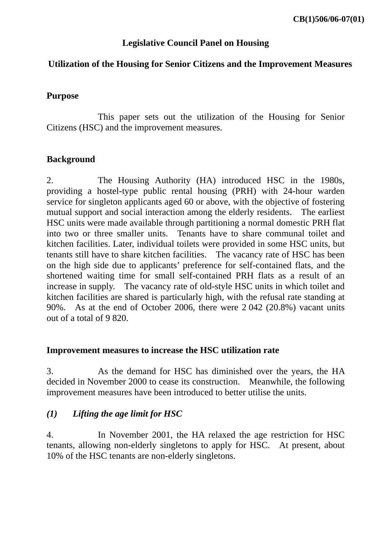## **Legislative Council Panel on Housing**

# **Utilization of the Housing for Senior Citizens and the Improvement Measures**

## **Purpose**

 This paper sets out the utilization of the Housing for Senior Citizens (HSC) and the improvement measures.

# **Background**

2. The Housing Authority (HA) introduced HSC in the 1980s, providing a hostel-type public rental housing (PRH) with 24-hour warden service for singleton applicants aged 60 or above, with the objective of fostering mutual support and social interaction among the elderly residents. The earliest HSC units were made available through partitioning a normal domestic PRH flat into two or three smaller units. Tenants have to share communal toilet and kitchen facilities. Later, individual toilets were provided in some HSC units, but tenants still have to share kitchen facilities. The vacancy rate of HSC has been on the high side due to applicants' preference for self-contained flats, and the shortened waiting time for small self-contained PRH flats as a result of an increase in supply. The vacancy rate of old-style HSC units in which toilet and kitchen facilities are shared is particularly high, with the refusal rate standing at 90%. As at the end of October 2006, there were 2 042 (20.8%) vacant units out of a total of 9 820.

## **Improvement measures to increase the HSC utilization rate**

3. As the demand for HSC has diminished over the years, the HA decided in November 2000 to cease its construction. Meanwhile, the following improvement measures have been introduced to better utilise the units.

# *(1) Lifting the age limit for HSC*

4. In November 2001, the HA relaxed the age restriction for HSC tenants, allowing non-elderly singletons to apply for HSC. At present, about 10% of the HSC tenants are non-elderly singletons.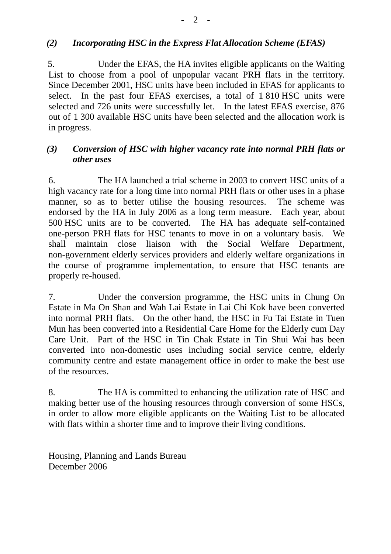# *(2) Incorporating HSC in the Express Flat Allocation Scheme (EFAS)*

5. Under the EFAS, the HA invites eligible applicants on the Waiting List to choose from a pool of unpopular vacant PRH flats in the territory. Since December 2001, HSC units have been included in EFAS for applicants to select. In the past four EFAS exercises, a total of 1 810 HSC units were selected and 726 units were successfully let. In the latest EFAS exercise, 876 out of 1 300 available HSC units have been selected and the allocation work is in progress.

# *(3) Conversion of HSC with higher vacancy rate into normal PRH flats or other uses*

6. The HA launched a trial scheme in 2003 to convert HSC units of a high vacancy rate for a long time into normal PRH flats or other uses in a phase manner, so as to better utilise the housing resources. The scheme was endorsed by the HA in July 2006 as a long term measure. Each year, about 500 HSC units are to be converted. The HA has adequate self-contained one-person PRH flats for HSC tenants to move in on a voluntary basis. We shall maintain close liaison with the Social Welfare Department, non-government elderly services providers and elderly welfare organizations in the course of programme implementation, to ensure that HSC tenants are properly re-housed.

7. Under the conversion programme, the HSC units in Chung On Estate in Ma On Shan and Wah Lai Estate in Lai Chi Kok have been converted into normal PRH flats. On the other hand, the HSC in Fu Tai Estate in Tuen Mun has been converted into a Residential Care Home for the Elderly cum Day Care Unit. Part of the HSC in Tin Chak Estate in Tin Shui Wai has been converted into non-domestic uses including social service centre, elderly community centre and estate management office in order to make the best use of the resources.

8. The HA is committed to enhancing the utilization rate of HSC and making better use of the housing resources through conversion of some HSCs, in order to allow more eligible applicants on the Waiting List to be allocated with flats within a shorter time and to improve their living conditions.

Housing, Planning and Lands Bureau December 2006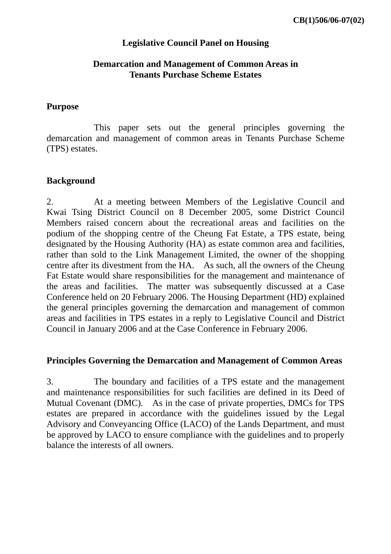### **Legislative Council Panel on Housing**

### **Demarcation and Management of Common Areas in Tenants Purchase Scheme Estates**

#### **Purpose**

 This paper sets out the general principles governing the demarcation and management of common areas in Tenants Purchase Scheme (TPS) estates.

### **Background**

2. At a meeting between Members of the Legislative Council and Kwai Tsing District Council on 8 December 2005, some District Council Members raised concern about the recreational areas and facilities on the podium of the shopping centre of the Cheung Fat Estate, a TPS estate, being designated by the Housing Authority (HA) as estate common area and facilities, rather than sold to the Link Management Limited, the owner of the shopping centre after its divestment from the HA. As such, all the owners of the Cheung Fat Estate would share responsibilities for the management and maintenance of the areas and facilities. The matter was subsequently discussed at a Case Conference held on 20 February 2006. The Housing Department (HD) explained the general principles governing the demarcation and management of common areas and facilities in TPS estates in a reply to Legislative Council and District Council in January 2006 and at the Case Conference in February 2006.

### **Principles Governing the Demarcation and Management of Common Areas**

3. The boundary and facilities of a TPS estate and the management and maintenance responsibilities for such facilities are defined in its Deed of Mutual Covenant (DMC). As in the case of private properties, DMCs for TPS estates are prepared in accordance with the guidelines issued by the Legal Advisory and Conveyancing Office (LACO) of the Lands Department, and must be approved by LACO to ensure compliance with the guidelines and to properly balance the interests of all owners.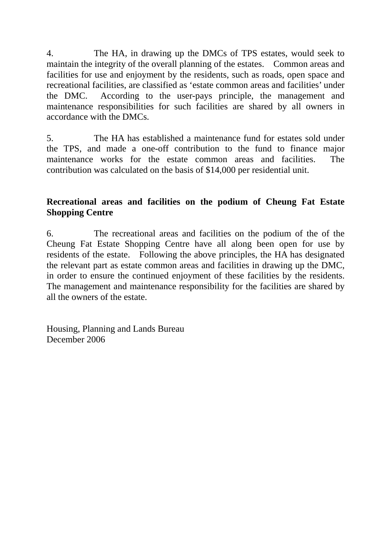4. The HA, in drawing up the DMCs of TPS estates, would seek to maintain the integrity of the overall planning of the estates. Common areas and facilities for use and enjoyment by the residents, such as roads, open space and recreational facilities, are classified as 'estate common areas and facilities' under the DMC. According to the user-pays principle, the management and maintenance responsibilities for such facilities are shared by all owners in accordance with the DMCs.

5. The HA has established a maintenance fund for estates sold under the TPS, and made a one-off contribution to the fund to finance major maintenance works for the estate common areas and facilities. The contribution was calculated on the basis of \$14,000 per residential unit.

# **Recreational areas and facilities on the podium of Cheung Fat Estate Shopping Centre**

6. The recreational areas and facilities on the podium of the of the Cheung Fat Estate Shopping Centre have all along been open for use by residents of the estate. Following the above principles, the HA has designated the relevant part as estate common areas and facilities in drawing up the DMC, in order to ensure the continued enjoyment of these facilities by the residents. The management and maintenance responsibility for the facilities are shared by all the owners of the estate.

Housing, Planning and Lands Bureau December 2006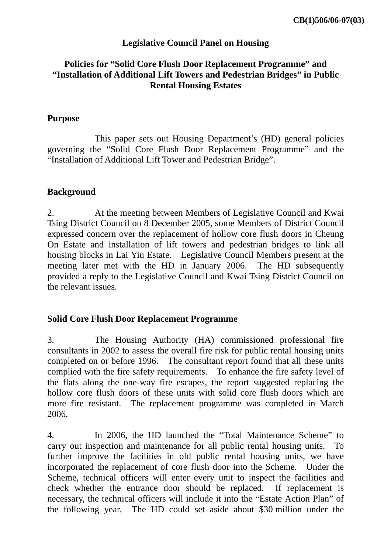### **Legislative Council Panel on Housing**

## **Policies for "Solid Core Flush Door Replacement Programme" and "Installation of Additional Lift Towers and Pedestrian Bridges" in Public Rental Housing Estates**

#### **Purpose**

 This paper sets out Housing Department's (HD) general policies governing the "Solid Core Flush Door Replacement Programme" and the "Installation of Additional Lift Tower and Pedestrian Bridge".

#### **Background**

2. At the meeting between Members of Legislative Council and Kwai Tsing District Council on 8 December 2005, some Members of District Council expressed concern over the replacement of hollow core flush doors in Cheung On Estate and installation of lift towers and pedestrian bridges to link all housing blocks in Lai Yiu Estate. Legislative Council Members present at the meeting later met with the HD in January 2006. The HD subsequently provided a reply to the Legislative Council and Kwai Tsing District Council on the relevant issues.

#### **Solid Core Flush Door Replacement Programme**

3. The Housing Authority (HA) commissioned professional fire consultants in 2002 to assess the overall fire risk for public rental housing units completed on or before 1996. The consultant report found that all these units complied with the fire safety requirements. To enhance the fire safety level of the flats along the one-way fire escapes, the report suggested replacing the hollow core flush doors of these units with solid core flush doors which are more fire resistant. The replacement programme was completed in March 2006.

4. In 2006, the HD launched the "Total Maintenance Scheme" to carry out inspection and maintenance for all public rental housing units. To further improve the facilities in old public rental housing units, we have incorporated the replacement of core flush door into the Scheme. Under the Scheme, technical officers will enter every unit to inspect the facilities and check whether the entrance door should be replaced. If replacement is necessary, the technical officers will include it into the "Estate Action Plan" of the following year. The HD could set aside about \$30 million under the